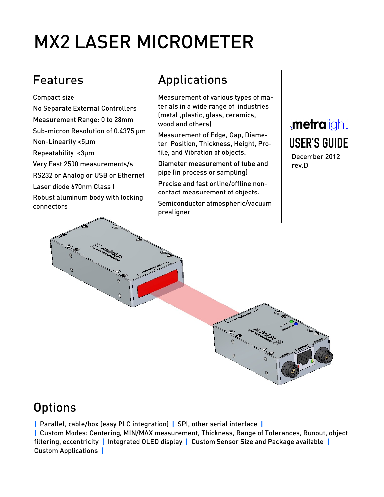# MX2 LASER MICROMETER

Compact size

No Separate External Controllers Measurement Range: 0 to 28mm Sub-micron Resolution of 0.4375 µm Non-Linearity <5μm Repeatability <3µm Very Fast 2500 measurements/s RS232 or Analog or USB or Ethernet Laser diode 670nm Class I Robust aluminum body with locking connectors

## Features **Applications**

Measurement of various types of materials in a wide range of industries (metal ,plastic, glass, ceramics, wood and others)

Measurement of Edge, Gap, Diameter, Position, Thickness, Height, Profile, and Vibration of objects.

Diameter measurement of tube and pipe (in process or sampling)

Precise and fast online/offline noncontact measurement of objects.

Semiconductor atmospheric/vacuum prealigner

## *<u>metralight</u>* **USER'S GUIDE**

December 2012 rev.D



## **Options**

| Parallel, cable/box (easy PLC integration) | SPI, other serial interface | | Custom Modes: Centering, MIN/MAX measurement, Thickness, Range of Tolerances, Runout, object filtering, eccentricity | Integrated OLED display | Custom Sensor Size and Package available | Custom Applications |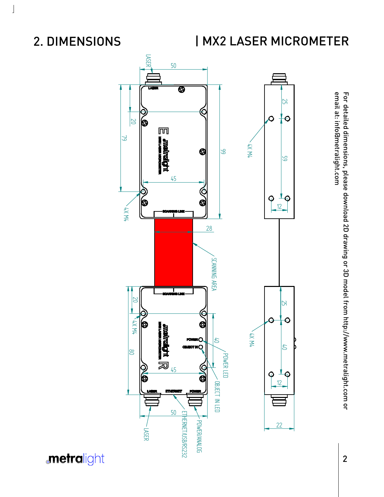2. DIMENSIONS

 $\rfloor$ 

## | MX2 LASER MICROMETER



email at: info@metralight.com For detailed dimensions, please download 2D drawing or 3D model from http://www.metralight.com or For detailed dimensions, please download 2D drawing or 3D model from http://www.metralight.com or<br>email at: info@metralight.com

**metralight**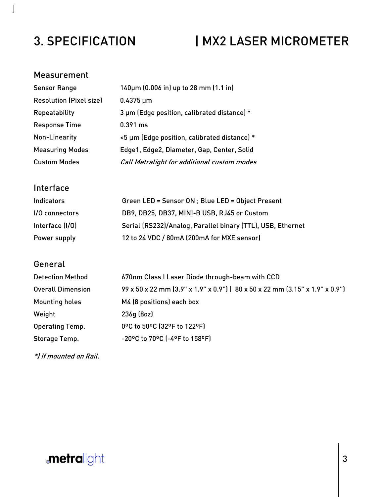## 3. SPECIFICATION | MX2 LASER MICROMETER

### Measurement

 $\bf \bf j$ 

| <b>Sensor Range</b>            | 140µm (0.006 in) up to 28 mm (1.1 in)        |
|--------------------------------|----------------------------------------------|
| <b>Resolution (Pixel size)</b> | $0.4375 \,\mu m$                             |
| Repeatability                  | 3 µm (Edge position, calibrated distance) *  |
| <b>Response Time</b>           | $0.391$ ms                                   |
| Non-Linearity                  | <5 µm (Edge position, calibrated distance) * |
| <b>Measuring Modes</b>         | Edge1, Edge2, Diameter, Gap, Center, Solid   |
| <b>Custom Modes</b>            | Call Metralight for additional custom modes  |

## Interface

| <b>Indicators</b> | Green LED = Sensor ON ; Blue LED = Object Present           |
|-------------------|-------------------------------------------------------------|
| $1/0$ connectors  | DB9, DB25, DB37, MINI-B USB, RJ45 or Custom                 |
| Interface (I/O)   | Serial (RS232)/Analog, Parallel binary (TTL), USB, Ethernet |
| Power supply      | 12 to 24 VDC / 80mA (200mA for MXE sensor)                  |

## **General**

| <b>Detection Method</b>  | 670nm Class I Laser Diode through-beam with CCD                              |
|--------------------------|------------------------------------------------------------------------------|
| <b>Overall Dimension</b> | 99 x 50 x 22 mm (3.9" x 1.9" x 0.9")   80 x 50 x 22 mm (3.15" x 1.9" x 0.9") |
| <b>Mounting holes</b>    | M4 (8 positions) each box                                                    |
| Weight                   | 236g(8oz)                                                                    |
| Operating Temp.          | 0°C to 50°C (32°F to 122°F)                                                  |
| Storage Temp.            | -20°C to 70°C (-4°F to 158°F)                                                |

\*) If mounted on Rail.

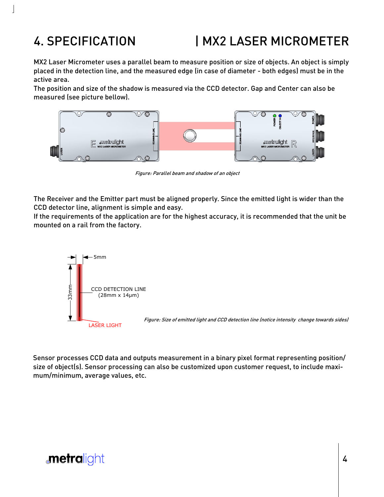## 4. SPECIFICATION | MX2 LASER MICROMETER

MX2 Laser Micrometer uses a parallel beam to measure position or size of objects. An object is simply placed in the detection line, and the measured edge (in case of diameter - both edges) must be in the active area.

The position and size of the shadow is measured via the CCD detector. Gap and Center can also be measured (see picture bellow).



Figure: Parallel beam and shadow of an object

The Receiver and the Emitter part must be aligned properly. Since the emitted light is wider than the CCD detector line, alignment is simple and easy.

If the requirements of the application are for the highest accuracy, it is recommended that the unit be mounted on a rail from the factory.



Sensor processes CCD data and outputs measurement in a binary pixel format representing position/ size of object(s). Sensor processing can also be customized upon customer request, to include maximum/minimum, average values, etc.

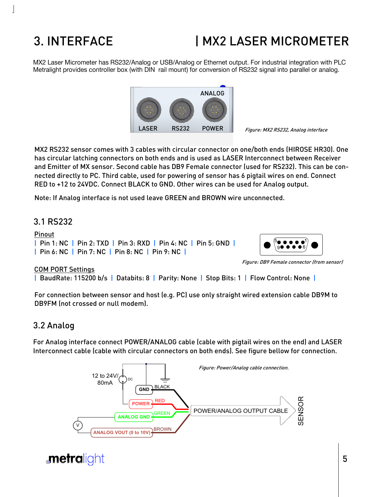## 3. INTERFACE

## | MX2 LASER MICROMETER

MX2 Laser Micrometer has RS232/Analog or USB/Analog or Ethernet output. For industrial integration with PLC Metralight provides controller box (with DIN rail mount) for conversion of RS232 signal into parallel or analog.



MX2 RS232 sensor comes with 3 cables with circular connector on one/both ends (HIROSE HR30). One has circular latching connectors on both ends and is used as LASER Interconnect between Receiver and Emitter of MX sensor. Second cable has DB9 Female connector (used for RS232). This can be connected directly to PC. Third cable, used for powering of sensor has 6 pigtail wires on end. Connect RED to +12 to 24VDC. Connect BLACK to GND. Other wires can be used for Analog output.

Note: If Analog interface is not used leave GREEN and BROWN wire unconnected.

### 3.1 RS232

#### Pinout

| Pin 1: NC | Pin 2: TXD | Pin 3: RXD | Pin 4: NC | Pin 5: GND | | Pin 6: NC | Pin 7: NC | Pin 8: NC | Pin 9: NC |



Figure: DB9 Female connector (from sensor)

#### COM PORT Settings

| BaudRate: 115200 b/s | Databits: 8 | Parity: None | Stop Bits: 1 | Flow Control: None |

For connection between sensor and host (e.g. PC) use only straight wired extension cable DB9M to DB9FM (not crossed or null modem).

#### 3.2 Analog

For Analog interface connect POWER/ANALOG cable (cable with pigtail wires on the end) and LASER Interconnect cable (cable with circular connectors on both ends). See figure bellow for connection.



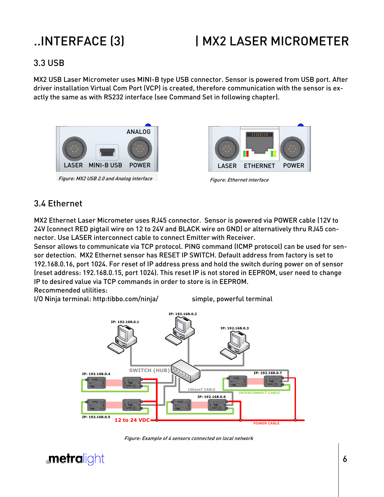## ..INTERFACE (3) | MX2 LASER MICROMETER

### 3.3 USB

MX2 USB Laser Micrometer uses MINI-B type USB connector. Sensor is powered from USB port. After driver installation Virtual Com Port (VCP) is created, therefore communication with the sensor is exactly the same as with RS232 interface (see Command Set in following chapter).



Figure: MX2 USB 2.0 and Analog interface



### 3.4 Ethernet

MX2 Ethernet Laser Micrometer uses RJ45 connector. Sensor is powered via POWER cable (12V to 24V (connect RED pigtail wire on 12 to 24V and BLACK wire on GND) or alternatively thru RJ45 connector. Use LASER interconnect cable to connect Emitter with Receiver.

Sensor allows to communicate via TCP protocol. PING command (ICMP protocol) can be used for sensor detection. MX2 Ethernet sensor has RESET IP SWITCH. Default address from factory is set to 192.168.0.16, port 1024. For reset of IP address press and hold the switch during power on of sensor (reset address: 192.168.0.15, port 1024). This reset IP is not stored in EEPROM, user need to change IP to desired value via TCP commands in order to store is in EEPROM.

Recommended utilities:

I/O Ninja terminal: http:tibbo.com/ninja/ simple, powerful terminal



Figure: Example of 4 sensors connected on local network

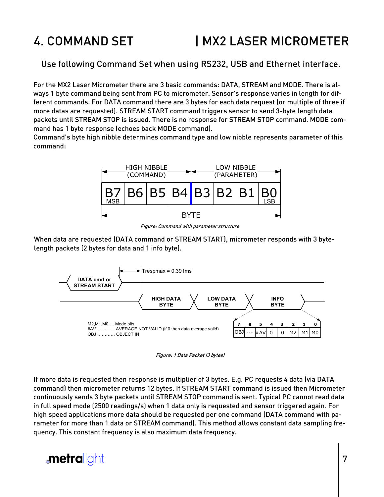## 4. COMMAND SET **IMX2 LASER MICROMETER**

Use following Command Set when using RS232, USB and Ethernet interface.

For the MX2 Laser Micrometer there are 3 basic commands: DATA, STREAM and MODE. There is always 1 byte command being sent from PC to micrometer. Sensor's response varies in length for different commands. For DATA command there are 3 bytes for each data request (or multiple of three if more datas are requested). STREAM START command triggers sensor to send 3-byte length data packets until STREAM STOP is issued. There is no response for STREAM STOP command. MODE command has 1 byte response (echoes back MODE command).

Command's byte high nibble determines command type and low nibble represents parameter of this command:



Figure: Command with parameter structure

When data are requested (DATA command or STREAM START), micrometer responds with 3 bytelength packets (2 bytes for data and 1 info byte).



Figure: 1 Data Packet (3 bytes)

If more data is requested then response is multiplier of 3 bytes. E.g. PC requests 4 data (via DATA command) then micrometer returns 12 bytes. If STREAM START command is issued then Micrometer continuously sends 3 byte packets until STREAM STOP command is sent. Typical PC cannot read data in full speed mode (2500 readings/s) when 1 data only is requested and sensor triggered again. For high speed applications more data should be requested per one command (DATA command with parameter for more than 1 data or STREAM command). This method allows constant data sampling frequency. This constant frequency is also maximum data frequency.

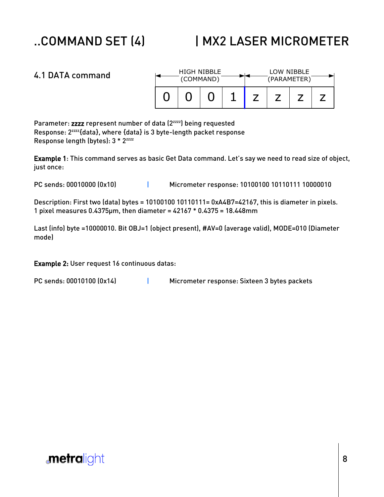## ..COMMAND SET (4) | MX2 LASER MICROMETER

| 4.1 DATA command | HIGH NIBBLE<br>(COMMAND) |  |  |  | LOW NIBBLE<br>(PARAMETER) |  |  |  |
|------------------|--------------------------|--|--|--|---------------------------|--|--|--|
|                  |                          |  |  |  |                           |  |  |  |

Parameter: zzzz represent number of data (2<sup>zzzz</sup>) being requested Response: 2zzzz{data}, where {data} is 3 byte-length packet response Response length (bytes): 3 \* 2<sup>zzzz</sup>

Example 1: This command serves as basic Get Data command. Let's say we need to read size of object, just once:

PC sends: 00010000 (0x10) | Micrometer response: 10100100 10110111 10000010

Description: First two (data) bytes = 10100100 10110111= 0xA4B7=42167, this is diameter in pixels. 1 pixel measures 0.4375µm, then diameter = 42167 \* 0.4375 = 18.448mm

Last (info) byte =10000010. Bit OBJ=1 (object present), #AV=0 (average valid), MODE=010 (Diameter mode)

PC sends: 00010100 (0x14) | Micrometer response: Sixteen 3 bytes packets

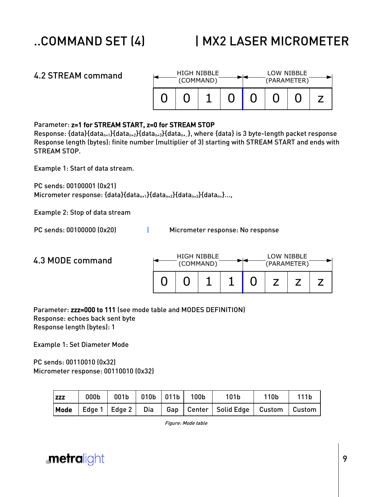| 4.2 STREAM command                                                                                                                                                                                                                                                                                                                                                                                                                                                                                                                  |  | HIGH NIBBLE<br>(COMMAND)         |  |  | LOW NIBBLE<br>(PARAMETER) |  |   |   |  |
|-------------------------------------------------------------------------------------------------------------------------------------------------------------------------------------------------------------------------------------------------------------------------------------------------------------------------------------------------------------------------------------------------------------------------------------------------------------------------------------------------------------------------------------|--|----------------------------------|--|--|---------------------------|--|---|---|--|
|                                                                                                                                                                                                                                                                                                                                                                                                                                                                                                                                     |  |                                  |  |  |                           |  | U | Z |  |
| Parameter: z=1 for STREAM START, z=0 for STREAM STOP<br>Response: {data}{data <sub>n+1</sub> }{data <sub>n+2</sub> }{data <sub>n+3</sub> }{data <sub>n+.</sub> }, where {data} is 3 byte-length packet response<br>Response length (bytes): finite number (multiplier of 3) starting with STREAM START and ends with<br><b>STREAM STOP.</b><br>Example 1: Start of data stream.<br>PC sends: 00100001 (0x21)<br>Micrometer response: {data}{data <sub>n+1</sub> }{data <sub>n+2</sub> }{data <sub>n+3</sub> }{data <sub>n+</sub> }, |  |                                  |  |  |                           |  |   |   |  |
| Example 2: Stop of data stream                                                                                                                                                                                                                                                                                                                                                                                                                                                                                                      |  |                                  |  |  |                           |  |   |   |  |
| PC sends: 00100000 (0x20)                                                                                                                                                                                                                                                                                                                                                                                                                                                                                                           |  | Micrometer response: No response |  |  |                           |  |   |   |  |
|                                                                                                                                                                                                                                                                                                                                                                                                                                                                                                                                     |  |                                  |  |  |                           |  |   |   |  |

#### 4.3 MODE command 0 0 1 1 0 z z z LOW NIBBLE (PARAMETER) HIGH NIBBLE (COMMAND)

Parameter: zzz=000 to 111 (see mode table and MODES DEFINITION) Response: echoes back sent byte Response length (bytes): 1

Example 1: Set Diameter Mode

PC sends: 00110010 (0x32) Micrometer response: 00110010 (0x32)

| <b>ZZZ</b> | $000b$   001b   010b   011b   100b |  | 101 <sub>b</sub>                                                           | 110b | 111 <sub>b</sub> |
|------------|------------------------------------|--|----------------------------------------------------------------------------|------|------------------|
|            |                                    |  | Mode   Edge 1   Edge 2   Dia   Gap   Center   Solid Edge   Custom   Custom |      |                  |

Figure: Mode table

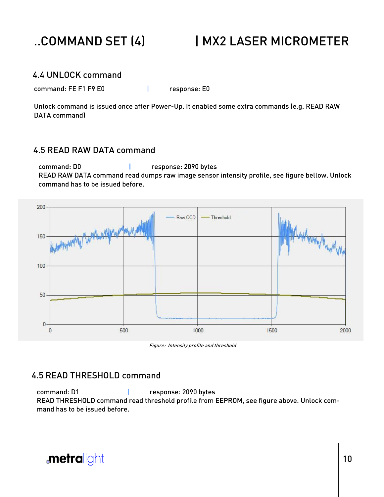

## ..COMMAND SET (4) | MX2 LASER MICROMETER

### 4.4 UNLOCK command

command: FE F1 F9 E0 | response: E0

Unlock command is issued once after Power-Up. It enabled some extra commands (e.g. READ RAW DATA command)

### 4.5 READ RAW DATA command

command: D0 | response: 2090 bytes READ RAW DATA command read dumps raw image sensor intensity profile, see figure bellow. Unlock command has to be issued before.



Figure: Intensity profile and threshold

### 4.5 READ THRESHOLD command

command: D1 | response: 2090 bytes READ THRESHOLD command read threshold profile from EEPROM, see figure above. Unlock command has to be issued before.

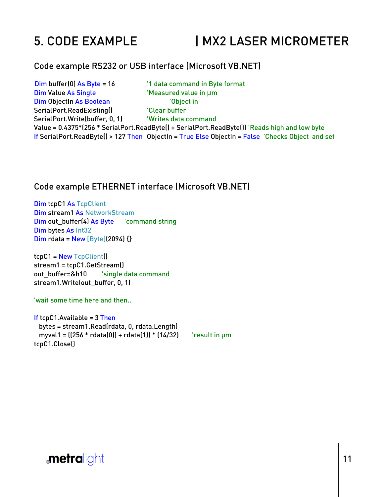## 5. CODE EXAMPLE | MX2 LASER MICROMETER

#### Code example RS232 or USB interface (Microsoft VB.NET)

Dim buffer(0) As Byte = 16 <sup>'1</sup> data command in Byte format Dim Value As Single 'Measured value in μm Dim ObjectIn As Boolean 'Object in SerialPort.ReadExisting() The Clear buffer SerialPort.Write(buffer, 0, 1) Writes data command Value = 0.4375\*(256 \* SerialPort.ReadByte() + SerialPort.ReadByte()) 'Reads high and low byte If SerialPort.ReadByte() > 127 Then ObjectIn = True Else ObjectIn = False 'Checks Object and set

#### Code example ETHERNET interface (Microsoft VB.NET)

Dim tcpC1 As TcpClient Dim stream1 As NetworkStream Dim out\_buffer(4) As Byte 'command string Dim bytes As Int32 Dim rdata = New [Byte](2094) {}

tcpC1 = New TcpClient() stream1 = tcpC1.GetStream() out buffer=&h10 'single data command stream1.Write(out\_buffer, 0, 1)

'wait some time here and then..

If tcpC1.Available =  $3$  Then bytes = stream1.Read(rdata, 0, rdata.Length) myval1 =  $(256 * rdata(0)) + rdata(1)) * (14/32)$  result in um tcpC1.Close()

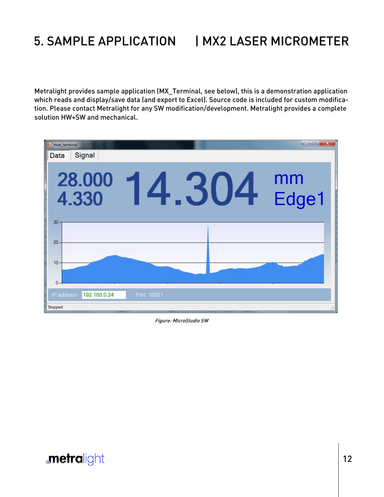## 5. SAMPLE APPLICATION | MX2 LASER MICROMETER

Metralight provides sample application (MX\_Terminal, see below), this is a demonstration application which reads and display/save data (and export to Excel). Source code is included for custom modification. Please contact Metralight for any SW modification/development. Metralight provides a complete solution HW+SW and mechanical.



Figure: MicroStudio SW

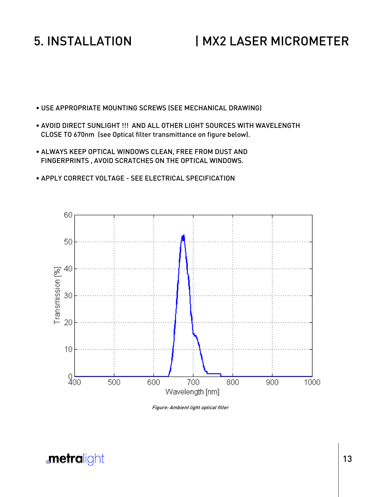## 5. INSTALLATION | MX2 LASER MICROMETER

- USE APPROPRIATE MOUNTING SCREWS (SEE MECHANICAL DRAWING)
- AVOID DIRECT SUNLIGHT !!! AND ALL OTHER LIGHT SOURCES WITH WAVELENGTH CLOSE TO 670nm (see Optical filter transmittance on figure below).
- ALWAYS KEEP OPTICAL WINDOWS CLEAN, FREE FROM DUST AND FINGERPRINTS , AVOID SCRATCHES ON THE OPTICAL WINDOWS.
- APPLY CORRECT VOLTAGE SEE ELECTRICAL SPECIFICATION



Figure: Ambient light optical filter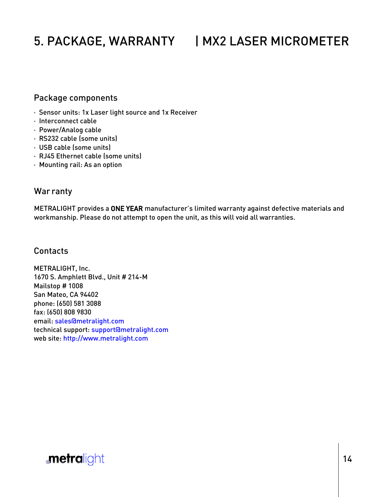## 5. PACKAGE, WARRANTY | MX2 LASER MICROMETER

### Package components

- · Sensor units: 1x Laser light source and 1x Receiver
- · Interconnect cable
- · Power/Analog cable
- · RS232 cable (some units)
- · USB cable (some units)
- · RJ45 Ethernet cable (some units)
- · Mounting rail: As an option

### War ranty

METRALIGHT provides a ONE YEAR manufacturer's limited warranty against defective materials and workmanship. Please do not attempt to open the unit, as this will void all warranties.

#### Contacts

METRALIGHT, Inc. 1670 S. Amphlett Blvd., Unit # 214-M Mailstop # 1008 San Mateo, CA 94402 phone: (650) 581 3088 fax: (650) 808 9830 email: sales@metralight.com technical support: support@metralight.com web site: http://www.metralight.com

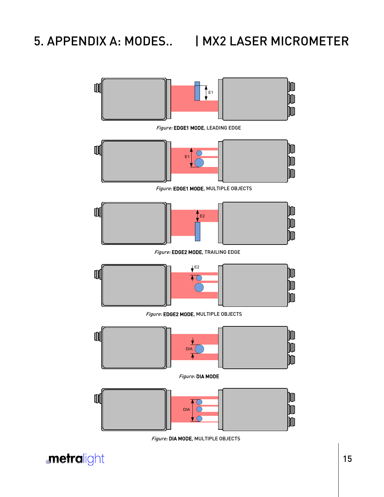## 5. APPENDIX A: MODES.. | MX2 LASER MICROMETER



Figure: DIA MODE, MULTIPLE OBJECTS

**metralight**